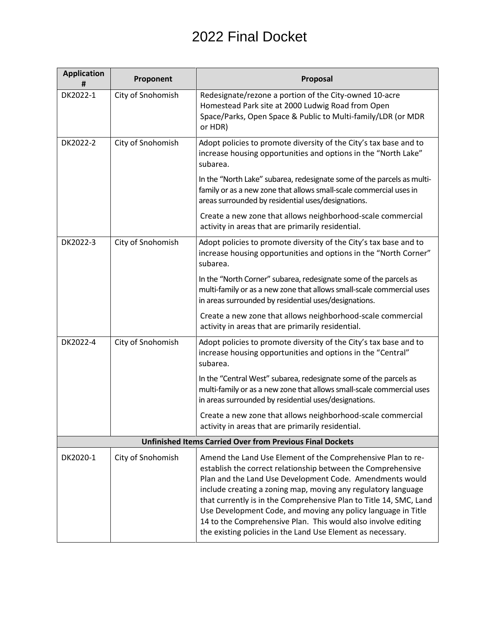## 2022 Final Docket

| <b>Application</b><br>#                                          | Proponent         | Proposal                                                                                                                                                                                                                                                                                                                                                                                                                                                                                                                        |
|------------------------------------------------------------------|-------------------|---------------------------------------------------------------------------------------------------------------------------------------------------------------------------------------------------------------------------------------------------------------------------------------------------------------------------------------------------------------------------------------------------------------------------------------------------------------------------------------------------------------------------------|
| DK2022-1                                                         | City of Snohomish | Redesignate/rezone a portion of the City-owned 10-acre<br>Homestead Park site at 2000 Ludwig Road from Open<br>Space/Parks, Open Space & Public to Multi-family/LDR (or MDR<br>or HDR)                                                                                                                                                                                                                                                                                                                                          |
| DK2022-2                                                         | City of Snohomish | Adopt policies to promote diversity of the City's tax base and to<br>increase housing opportunities and options in the "North Lake"<br>subarea.                                                                                                                                                                                                                                                                                                                                                                                 |
|                                                                  |                   | In the "North Lake" subarea, redesignate some of the parcels as multi-<br>family or as a new zone that allows small-scale commercial uses in<br>areas surrounded by residential uses/designations.                                                                                                                                                                                                                                                                                                                              |
|                                                                  |                   | Create a new zone that allows neighborhood-scale commercial<br>activity in areas that are primarily residential.                                                                                                                                                                                                                                                                                                                                                                                                                |
| DK2022-3                                                         | City of Snohomish | Adopt policies to promote diversity of the City's tax base and to<br>increase housing opportunities and options in the "North Corner"<br>subarea.                                                                                                                                                                                                                                                                                                                                                                               |
|                                                                  |                   | In the "North Corner" subarea, redesignate some of the parcels as<br>multi-family or as a new zone that allows small-scale commercial uses<br>in areas surrounded by residential uses/designations.                                                                                                                                                                                                                                                                                                                             |
|                                                                  |                   | Create a new zone that allows neighborhood-scale commercial<br>activity in areas that are primarily residential.                                                                                                                                                                                                                                                                                                                                                                                                                |
| DK2022-4                                                         | City of Snohomish | Adopt policies to promote diversity of the City's tax base and to<br>increase housing opportunities and options in the "Central"<br>subarea.                                                                                                                                                                                                                                                                                                                                                                                    |
|                                                                  |                   | In the "Central West" subarea, redesignate some of the parcels as<br>multi-family or as a new zone that allows small-scale commercial uses<br>in areas surrounded by residential uses/designations.                                                                                                                                                                                                                                                                                                                             |
|                                                                  |                   | Create a new zone that allows neighborhood-scale commercial<br>activity in areas that are primarily residential.                                                                                                                                                                                                                                                                                                                                                                                                                |
| <b>Unfinished Items Carried Over from Previous Final Dockets</b> |                   |                                                                                                                                                                                                                                                                                                                                                                                                                                                                                                                                 |
| DK2020-1                                                         | City of Snohomish | Amend the Land Use Element of the Comprehensive Plan to re-<br>establish the correct relationship between the Comprehensive<br>Plan and the Land Use Development Code. Amendments would<br>include creating a zoning map, moving any regulatory language<br>that currently is in the Comprehensive Plan to Title 14, SMC, Land<br>Use Development Code, and moving any policy language in Title<br>14 to the Comprehensive Plan. This would also involve editing<br>the existing policies in the Land Use Element as necessary. |